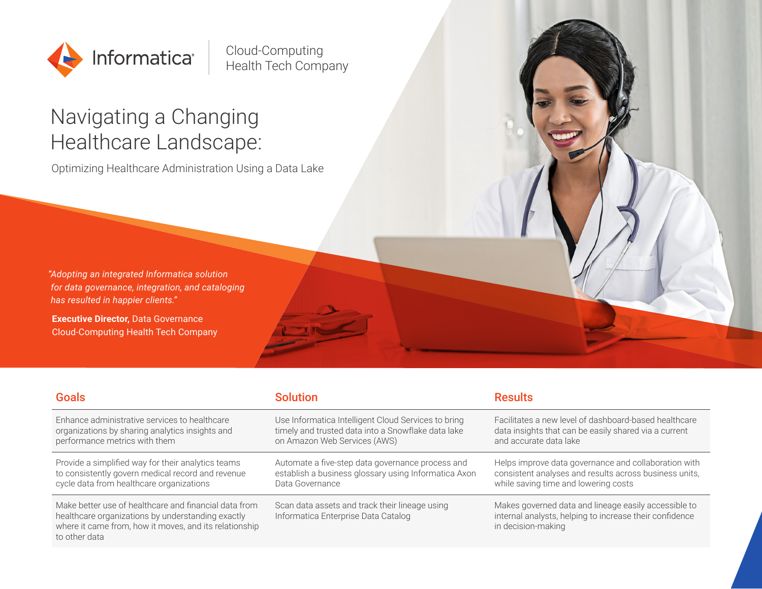

Cloud-Computing Health Tech Company

# Navigating a Changing Healthcare Landscape:

Optimizing Healthcare Administration Using a Data Lake

*"Adopting an integrated Informatica solution for data governance, integration, and cataloging has resulted in happier clients."*

**Executive Director, Data Governance** Cloud-Computing Health Tech Company

| <b>Goals</b>                                                                                                                                                                          | <b>Solution</b>                                                                       | <b>Results</b>                                                                                                                        |
|---------------------------------------------------------------------------------------------------------------------------------------------------------------------------------------|---------------------------------------------------------------------------------------|---------------------------------------------------------------------------------------------------------------------------------------|
| Enhance administrative services to healthcare                                                                                                                                         | Use Informatica Intelligent Cloud Services to bring                                   | Facilitates a new level of dashboard-based healthcare                                                                                 |
| organizations by sharing analytics insights and                                                                                                                                       | timely and trusted data into a Snowflake data lake                                    | data insights that can be easily shared via a current                                                                                 |
| performance metrics with them                                                                                                                                                         | on Amazon Web Services (AWS)                                                          | and accurate data lake                                                                                                                |
| Provide a simplified way for their analytics teams                                                                                                                                    | Automate a five-step data governance process and                                      | Helps improve data governance and collaboration with                                                                                  |
| to consistently govern medical record and revenue                                                                                                                                     | establish a business glossary using Informatica Axon                                  | consistent analyses and results across business units,                                                                                |
| cycle data from healthcare organizations                                                                                                                                              | Data Governance                                                                       | while saving time and lowering costs                                                                                                  |
| Make better use of healthcare and financial data from<br>healthcare organizations by understanding exactly<br>where it came from, how it moves, and its relationship<br>to other data | Scan data assets and track their lineage using<br>Informatica Enterprise Data Catalog | Makes governed data and lineage easily accessible to<br>internal analysts, helping to increase their confidence<br>in decision-making |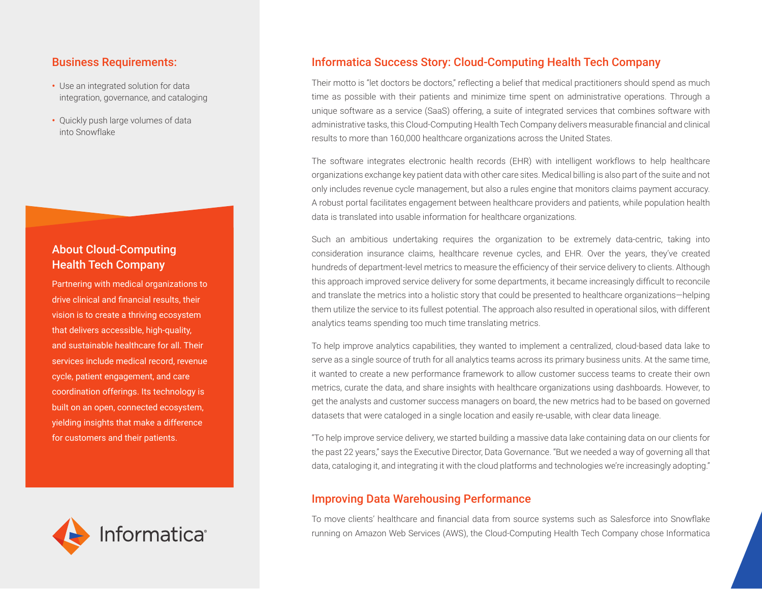#### Business Requirements:

- **•** Use an integrated solution for data integration, governance, and cataloging
- **•** Quickly push large volumes of data into Snowflake

# About Cloud-Computing Health Tech Company

Partnering with medical organizations to drive clinical and financial results, their vision is to create a thriving ecosystem that delivers accessible, high-quality, and sustainable healthcare for all. Their services include medical record, revenue cycle, patient engagement, and care coordination offerings. Its technology is built on an open, connected ecosystem, yielding insights that make a difference for customers and their patients.



#### Informatica Success Story: Cloud-Computing Health Tech Company

Their motto is "let doctors be doctors," reflecting a belief that medical practitioners should spend as much time as possible with their patients and minimize time spent on administrative operations. Through a unique software as a service (SaaS) offering, a suite of integrated services that combines software with administrative tasks, this Cloud-Computing Health Tech Company delivers measurable financial and clinical results to more than 160,000 healthcare organizations across the United States.

The software integrates electronic health records (EHR) with intelligent workflows to help healthcare organizations exchange key patient data with other care sites. Medical billing is also part of the suite and not only includes revenue cycle management, but also a rules engine that monitors claims payment accuracy. A robust portal facilitates engagement between healthcare providers and patients, while population health data is translated into usable information for healthcare organizations.

Such an ambitious undertaking requires the organization to be extremely data-centric, taking into consideration insurance claims, healthcare revenue cycles, and EHR. Over the years, they've created hundreds of department-level metrics to measure the efficiency of their service delivery to clients. Although this approach improved service delivery for some departments, it became increasingly difficult to reconcile and translate the metrics into a holistic story that could be presented to healthcare organizations—helping them utilize the service to its fullest potential. The approach also resulted in operational silos, with different analytics teams spending too much time translating metrics.

To help improve analytics capabilities, they wanted to implement a centralized, cloud-based data lake to serve as a single source of truth for all analytics teams across its primary business units. At the same time, it wanted to create a new performance framework to allow customer success teams to create their own metrics, curate the data, and share insights with healthcare organizations using dashboards. However, to get the analysts and customer success managers on board, the new metrics had to be based on governed datasets that were cataloged in a single location and easily re-usable, with clear data lineage.

"To help improve service delivery, we started building a massive data lake containing data on our clients for the past 22 years," says the Executive Director, Data Governance. "But we needed a way of governing all that data, cataloging it, and integrating it with the cloud platforms and technologies we're increasingly adopting."

#### Improving Data Warehousing Performance

To move clients' healthcare and financial data from source systems such as Salesforce into Snowflake running on Amazon Web Services (AWS), the Cloud-Computing Health Tech Company chose Informatica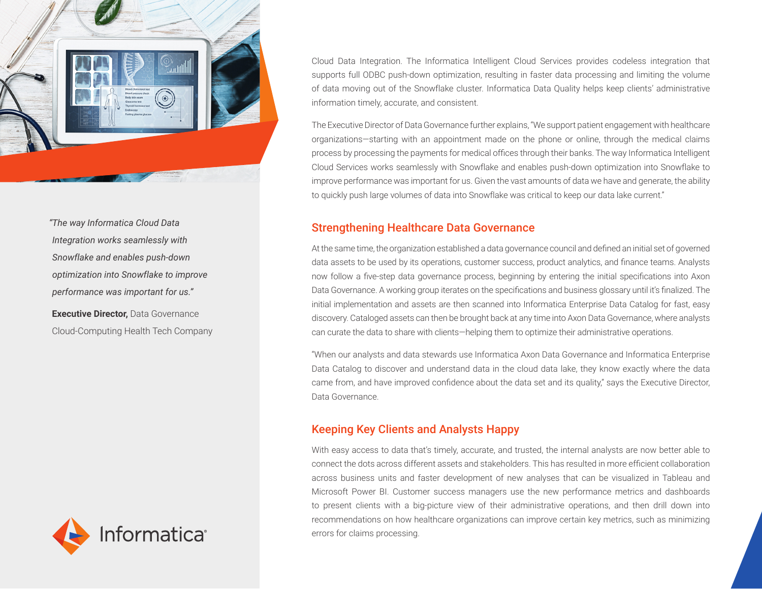

*"The way Informatica Cloud Data Integration works seamlessly with Snowflake and enables push-down optimization into Snowflake to improve performance was important for us."*

**Executive Director, Data Governance** Cloud-Computing Health Tech Company



Cloud Data Integration. The Informatica Intelligent Cloud Services provides codeless integration that supports full ODBC push-down optimization, resulting in faster data processing and limiting the volume of data moving out of the Snowflake cluster. Informatica Data Quality helps keep clients' administrative information timely, accurate, and consistent.

The Executive Director of Data Governance further explains, "We support patient engagement with healthcare organizations—starting with an appointment made on the phone or online, through the medical claims process by processing the payments for medical offices through their banks. The way Informatica Intelligent Cloud Services works seamlessly with Snowflake and enables push-down optimization into Snowflake to improve performance was important for us. Given the vast amounts of data we have and generate, the ability to quickly push large volumes of data into Snowflake was critical to keep our data lake current."

### Strengthening Healthcare Data Governance

At the same time, the organization established a data governance council and defined an initial set of governed data assets to be used by its operations, customer success, product analytics, and finance teams. Analysts now follow a five-step data governance process, beginning by entering the initial specifications into Axon Data Governance. A working group iterates on the specifications and business glossary until it's finalized. The initial implementation and assets are then scanned into Informatica Enterprise Data Catalog for fast, easy discovery. Cataloged assets can then be brought back at any time into Axon Data Governance, where analysts can curate the data to share with clients—helping them to optimize their administrative operations.

"When our analysts and data stewards use Informatica Axon Data Governance and Informatica Enterprise Data Catalog to discover and understand data in the cloud data lake, they know exactly where the data came from, and have improved confidence about the data set and its quality," says the Executive Director, Data Governance.

# Keeping Key Clients and Analysts Happy

With easy access to data that's timely, accurate, and trusted, the internal analysts are now better able to connect the dots across different assets and stakeholders. This has resulted in more efficient collaboration across business units and faster development of new analyses that can be visualized in Tableau and Microsoft Power BI. Customer success managers use the new performance metrics and dashboards to present clients with a big-picture view of their administrative operations, and then drill down into recommendations on how healthcare organizations can improve certain key metrics, such as minimizing errors for claims processing.